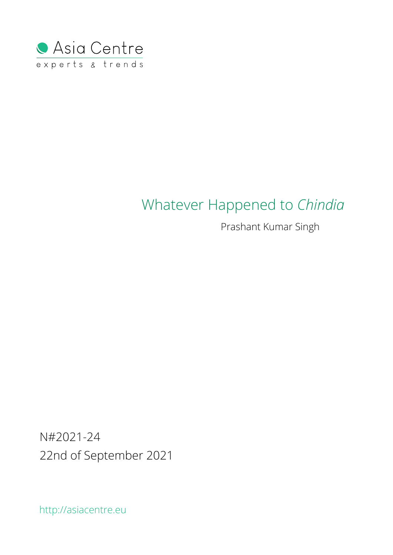

# Whatever Happened to *Chindia*

Prashant Kumar Singh

N#2021-24 22nd of September 2021

http://asiacentre.eu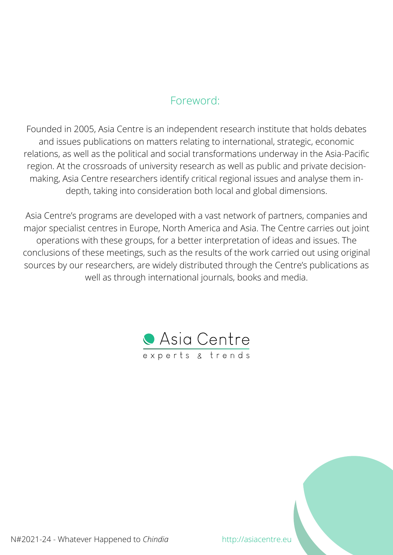# Foreword:

Founded in 2005, Asia Centre is an independent research institute that holds debates and issues publications on matters relating to international, strategic, economic relations, as well as the political and social transformations underway in the Asia-Pacific region. At the crossroads of university research as well as public and private decisionmaking, Asia Centre researchers identify critical regional issues and analyse them indepth, taking into consideration both local and global dimensions.

Asia Centre's programs are developed with a vast network of partners, companies and major specialist centres in Europe, North America and Asia. The Centre carries out joint operations with these groups, for a better interpretation of ideas and issues. The conclusions of these meetings, such as the results of the work carried out using original sources by our researchers, are widely distributed through the Centre's publications as well as through international journals, books and media.



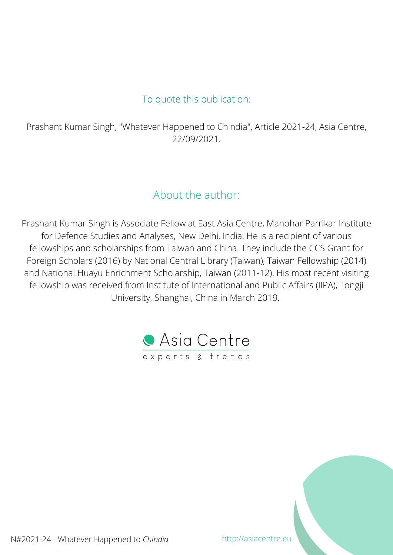# To quote this publication:

Prashant Kumar Singh, "Whatever Happened to Chindia", Article 2021-24, Asia Centre, 22/09/2021.

# About the author:

Prashant Kumar Singh is Associate Fellow at East Asia Centre, Manohar Parrikar Institute for Defence Studies and Analyses, New Delhi, India. He is a recipient of various fellowships and scholarships from Taiwan and China. They include the CCS Grant for Foreign Scholars (2016) by National Central Library (Taiwan), Taiwan Fellowship (2014) and National Huayu Enrichment Scholarship, Taiwan (2011-12). His most recent visiting fellowship was received from Institute of International and Public Affairs (IIPA), Tongji University, Shanghai, China in March 2019.



N#2021-24 - Whatever Happened to *Chindia* http://asiacentre.eu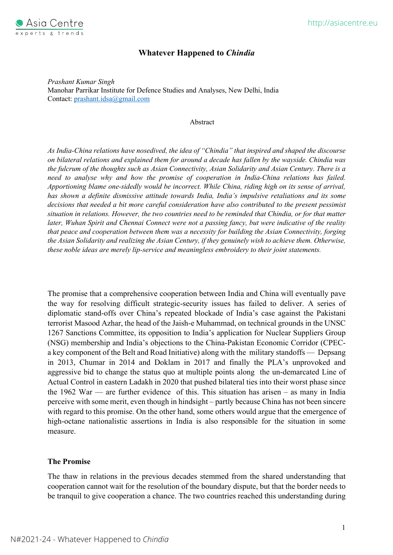

# **Whatever Happened to** *Chindia*

*Prashant Kumar Singh* Manohar Parrikar Institute for Defence Studies and Analyses, New Delhi, India Contact: prashant.idsa@gmail.com

#### Abstract

*As India-China relations have nosedived, the idea of "Chindia" that inspired and shaped the discourse on bilateral relations and explained them for around a decade has fallen by the wayside. Chindia was the fulcrum of the thoughts such as Asian Connectivity, Asian Solidarity and Asian Century. There is a need to analyse why and how the promise of cooperation in India-China relations has failed. Apportioning blame one-sidedly would be incorrect. While China, riding high on its sense of arrival, has shown a definite dismissive attitude towards India, India's impulsive retaliations and its some decisions that needed a bit more careful consideration have also contributed to the present pessimist situation in relations. However, the two countries need to be reminded that Chindia, or for that matter later, Wuhan Spirit and Chennai Connect were not a passing fancy, but were indicative of the reality that peace and cooperation between them was a necessity for building the Asian Connectivity, forging the Asian Solidarity and realizing the Asian Century, if they genuinely wish to achieve them. Otherwise, these noble ideas are merely lip-service and meaningless embroidery to their joint statements.* 

The promise that a comprehensive cooperation between India and China will eventually pave the way for resolving difficult strategic-security issues has failed to deliver. A series of diplomatic stand-offs over China's repeated blockade of India's case against the Pakistani terrorist Masood Azhar, the head of the Jaish-e Muhammad, on technical grounds in the UNSC 1267 Sanctions Committee, its opposition to India's application for Nuclear Suppliers Group (NSG) membership and India's objections to the China-Pakistan Economic Corridor (CPECa key component of the Belt and Road Initiative) along with the military standoffs — Depsang in 2013, Chumar in 2014 and Doklam in 2017 and finally the PLA's unprovoked and aggressive bid to change the status quo at multiple points along the un-demarcated Line of Actual Control in eastern Ladakh in 2020 that pushed bilateral ties into their worst phase since the 1962 War — are further evidence of this. This situation has arisen – as many in India perceive with some merit, even though in hindsight – partly because China has not been sincere with regard to this promise. On the other hand, some others would argue that the emergence of high-octane nationalistic assertions in India is also responsible for the situation in some measure.

# **The Promise**

The thaw in relations in the previous decades stemmed from the shared understanding that cooperation cannot wait for the resolution of the boundary dispute, but that the border needs to be tranquil to give cooperation a chance. The two countries reached this understanding during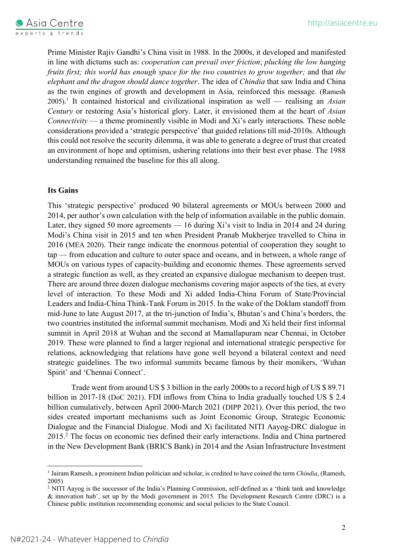Prime Minister Rajiv Gandhi's China visit in 1988. In the 2000s, it developed and manifested in line with dictums such as: *cooperation can prevail over friction*; *plucking the low hanging fruits first; this world has enough space for the two countries to grow together;* and that *the elephant and the dragon should dance together*. The idea of *Chindia* that saw India and China as the twin engines of growth and development in Asia, reinforced this message. (Ramesh 2005).1 It contained historical and civilizational inspiration as well — realising an *Asian Century* or restoring Asia's historical glory. Later, it envisioned them at the heart of *Asian Connectivity* — a theme prominently visible in Modi and Xi's early interactions. These noble considerations provided a 'strategic perspective' that guided relations till mid-2010s. Although this could not resolve the security dilemma, it was able to generate a degree of trust that created an environment of hope and optimism, ushering relations into their best ever phase. The 1988 understanding remained the baseline for this all along.

# **Its Gains**

This 'strategic perspective' produced 90 bilateral agreements or MOUs between 2000 and 2014, per author's own calculation with the help of information available in the public domain. Later, they signed 50 more agreements — 16 during Xi's visit to India in 2014 and 24 during Modi's China visit in 2015 and ten when President Pranab Mukherjee travelled to China in 2016 (MEA 2020). Their range indicate the enormous potential of cooperation they sought to tap — from education and culture to outer space and oceans, and in between, a whole range of MOUs on various types of capacity-building and economic themes. These agreements served a strategic function as well, as they created an expansive dialogue mechanism to deepen trust. There are around three dozen dialogue mechanisms covering major aspects of the ties, at every level of interaction. To these Modi and Xi added India-China Forum of State/Provincial Leaders and India-China Think-Tank Forum in 2015. In the wake of the Doklam standoff from mid-June to late August 2017, at the tri-junction of India's, Bhutan's and China's borders, the two countries instituted the informal summit mechanism. Modi and Xi held their first informal summit in April 2018 at Wuhan and the second at Mamallapuram near Chennai, in October 2019. These were planned to find a larger regional and international strategic perspective for relations, acknowledging that relations have gone well beyond a bilateral context and need strategic guidelines. The two informal summits became famous by their monikers, 'Wuhan Spirit' and 'Chennai Connect'.

Trade went from around US \$ 3 billion in the early 2000s to a record high of US \$ 89.71 billion in 2017-18 (DoC 2021). FDI inflows from China to India gradually touched US \$ 2.4 billion cumulatively, between April 2000-March 2021 (DIPP 2021). Over this period, the two sides created important mechanisms such as Joint Economic Group, Strategic Economic Dialogue and the Financial Dialogue. Modi and Xi facilitated NITI Aayog-DRC dialogue in 2015.2 The focus on economic ties defined their early interactions. India and China partnered in the New Development Bank (BRICS Bank) in 2014 and the Asian Infrastructure Investment

<sup>1</sup> Jairam Ramesh, a prominent Indian politician and scholar, is credited to have coined the term *Chindia*, (Ramesh, 2005)

<sup>&</sup>lt;sup>2</sup> NITI Aayog is the successor of the India's Planning Commission, self-defined as a 'think tank and knowledge & innovation hub', set up by the Modi government in 2015. The Development Research Centre (DRC) is a Chinese public institution recommending economic and social policies to the State Council.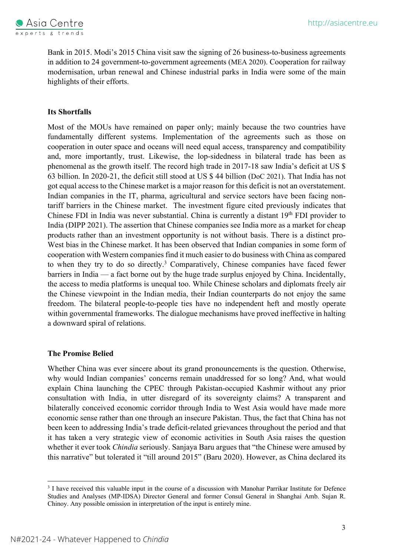

Bank in 2015. Modi's 2015 China visit saw the signing of 26 business-to-business agreements in addition to 24 government-to-government agreements (MEA 2020). Cooperation for railway modernisation, urban renewal and Chinese industrial parks in India were some of the main highlights of their efforts.

# **Its Shortfalls**

Most of the MOUs have remained on paper only; mainly because the two countries have fundamentally different systems. Implementation of the agreements such as those on cooperation in outer space and oceans will need equal access, transparency and compatibility and, more importantly, trust. Likewise, the lop-sidedness in bilateral trade has been as phenomenal as the growth itself. The record high trade in 2017-18 saw India's deficit at US \$ 63 billion. In 2020-21, the deficit still stood at US \$ 44 billion (DoC 2021). That India has not got equal access to the Chinese market is a major reason for this deficit is not an overstatement. Indian companies in the IT, pharma, agricultural and service sectors have been facing nontariff barriers in the Chinese market. The investment figure cited previously indicates that Chinese FDI in India was never substantial. China is currently a distant 19<sup>th</sup> FDI provider to India (DIPP 2021). The assertion that Chinese companies see India more as a market for cheap products rather than an investment opportunity is not without basis. There is a distinct pro-West bias in the Chinese market. It has been observed that Indian companies in some form of cooperation with Western companies find it much easier to do business with China as compared to when they try to do so directly.<sup>3</sup> Comparatively, Chinese companies have faced fewer barriers in India — a fact borne out by the huge trade surplus enjoyed by China. Incidentally, the access to media platforms is unequal too. While Chinese scholars and diplomats freely air the Chinese viewpoint in the Indian media, their Indian counterparts do not enjoy the same freedom. The bilateral people-to-people ties have no independent heft and mostly operate within governmental frameworks. The dialogue mechanisms have proved ineffective in halting a downward spiral of relations.

# **The Promise Belied**

Whether China was ever sincere about its grand pronouncements is the question. Otherwise, why would Indian companies' concerns remain unaddressed for so long? And, what would explain China launching the CPEC through Pakistan-occupied Kashmir without any prior consultation with India, in utter disregard of its sovereignty claims? A transparent and bilaterally conceived economic corridor through India to West Asia would have made more economic sense rather than one through an insecure Pakistan. Thus, the fact that China has not been keen to addressing India's trade deficit-related grievances throughout the period and that it has taken a very strategic view of economic activities in South Asia raises the question whether it ever took *Chindia* seriously. Sanjaya Baru argues that "the Chinese were amused by this narrative" but tolerated it "till around 2015" (Baru 2020). However, as China declared its

<sup>&</sup>lt;sup>3</sup> I have received this valuable input in the course of a discussion with Manohar Parrikar Institute for Defence Studies and Analyses (MP-IDSA) Director General and former Consul General in Shanghai Amb. Sujan R. Chinoy. Any possible omission in interpretation of the input is entirely mine.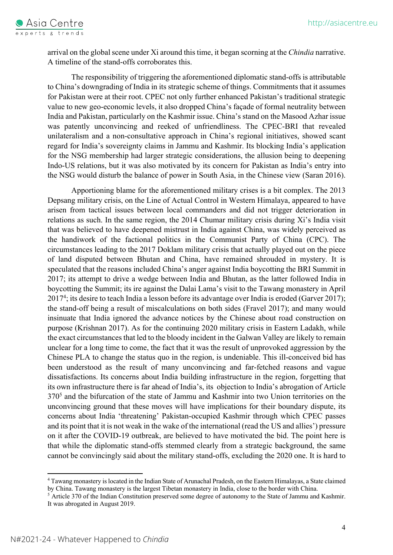

arrival on the global scene under Xi around this time, it began scorning at the *Chindia* narrative. A timeline of the stand-offs corroborates this.

The responsibility of triggering the aforementioned diplomatic stand-offs is attributable to China's downgrading of India in its strategic scheme of things. Commitments that it assumes for Pakistan were at their root. CPEC not only further enhanced Pakistan's traditional strategic value to new geo-economic levels, it also dropped China's façade of formal neutrality between India and Pakistan, particularly on the Kashmir issue. China's stand on the Masood Azhar issue was patently unconvincing and reeked of unfriendliness. The CPEC-BRI that revealed unilateralism and a non-consultative approach in China's regional initiatives, showed scant regard for India's sovereignty claims in Jammu and Kashmir. Its blocking India's application for the NSG membership had larger strategic considerations, the allusion being to deepening Indo-US relations, but it was also motivated by its concern for Pakistan as India's entry into the NSG would disturb the balance of power in South Asia, in the Chinese view (Saran 2016).

Apportioning blame for the aforementioned military crises is a bit complex. The 2013 Depsang military crisis, on the Line of Actual Control in Western Himalaya, appeared to have arisen from tactical issues between local commanders and did not trigger deterioration in relations as such. In the same region, the 2014 Chumar military crisis during Xi's India visit that was believed to have deepened mistrust in India against China, was widely perceived as the handiwork of the factional politics in the Communist Party of China (CPC). The circumstances leading to the 2017 Doklam military crisis that actually played out on the piece of land disputed between Bhutan and China, have remained shrouded in mystery. It is speculated that the reasons included China's anger against India boycotting the BRI Summit in 2017; its attempt to drive a wedge between India and Bhutan, as the latter followed India in boycotting the Summit; its ire against the Dalai Lama's visit to the Tawang monastery in April 20174; its desire to teach India a lesson before its advantage over India is eroded (Garver 2017); the stand-off being a result of miscalculations on both sides (Fravel 2017); and many would insinuate that India ignored the advance notices by the Chinese about road construction on purpose (Krishnan 2017). As for the continuing 2020 military crisis in Eastern Ladakh, while the exact circumstances that led to the bloody incident in the Galwan Valley are likely to remain unclear for a long time to come, the fact that it was the result of unprovoked aggression by the Chinese PLA to change the status quo in the region, is undeniable. This ill-conceived bid has been understood as the result of many unconvincing and far-fetched reasons and vague dissatisfactions. Its concerns about India building infrastructure in the region, forgetting that its own infrastructure there is far ahead of India's, its objection to India's abrogation of Article 3705 and the bifurcation of the state of Jammu and Kashmir into two Union territories on the unconvincing ground that these moves will have implications for their boundary dispute, its concerns about India 'threatening' Pakistan-occupied Kashmir through which CPEC passes and its point that it is not weak in the wake of the international (read the US and allies') pressure on it after the COVID-19 outbreak, are believed to have motivated the bid. The point here is that while the diplomatic stand-offs stemmed clearly from a strategic background, the same cannot be convincingly said about the military stand-offs, excluding the 2020 one. It is hard to

<sup>4</sup> Tawang monastery is located in the Indian State of Arunachal Pradesh, on the Eastern Himalayas, a State claimed by China. Tawang monastery is the largest Tibetan monastery in India, close to the border with China.

<sup>5</sup> Article 370 of the Indian Constitution preserved some degree of autonomy to the State of Jammu and Kashmir. It was abrogated in August 2019.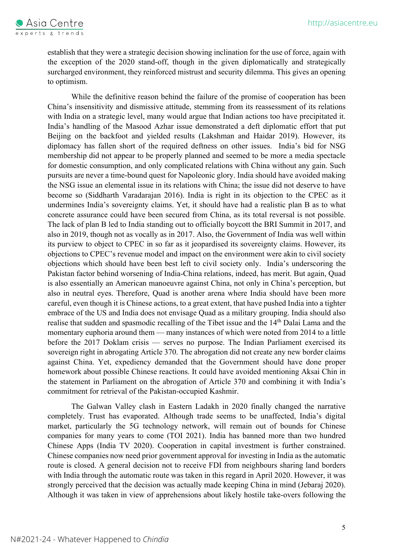

establish that they were a strategic decision showing inclination for the use of force, again with the exception of the 2020 stand-off, though in the given diplomatically and strategically surcharged environment, they reinforced mistrust and security dilemma. This gives an opening to optimism.

While the definitive reason behind the failure of the promise of cooperation has been China's insensitivity and dismissive attitude, stemming from its reassessment of its relations with India on a strategic level, many would argue that Indian actions too have precipitated it. India's handling of the Masood Azhar issue demonstrated a deft diplomatic effort that put Beijing on the backfoot and yielded results (Lakshman and Haidar 2019). However, its diplomacy has fallen short of the required deftness on other issues.India's bid for NSG membership did not appear to be properly planned and seemed to be more a media spectacle for domestic consumption, and only complicated relations with China without any gain. Such pursuits are never a time-bound quest for Napoleonic glory. India should have avoided making the NSG issue an elemental issue in its relations with China; the issue did not deserve to have become so (Siddharth Varadarajan 2016). India is right in its objection to the CPEC as it undermines India's sovereignty claims. Yet, it should have had a realistic plan B as to what concrete assurance could have been secured from China, as its total reversal is not possible. The lack of plan B led to India standing out to officially boycott the BRI Summit in 2017, and also in 2019, though not as vocally as in 2017. Also, the Government of India was well within its purview to object to CPEC in so far as it jeopardised its sovereignty claims. However, its objections to CPEC's revenue model and impact on the environment were akin to civil society objections which should have been best left to civil society only. India's underscoring the Pakistan factor behind worsening of India-China relations, indeed, has merit. But again, Quad is also essentially an American manoeuvre against China, not only in China's perception, but also in neutral eyes. Therefore, Quad is another arena where India should have been more careful, even though it is Chinese actions, to a great extent, that have pushed India into a tighter embrace of the US and India does not envisage Quad as a military grouping. India should also realise that sudden and spasmodic recalling of the Tibet issue and the 14<sup>th</sup> Dalai Lama and the momentary euphoria around them — many instances of which were noted from 2014 to a little before the 2017 Doklam crisis — serves no purpose. The Indian Parliament exercised its sovereign right in abrogating Article 370. The abrogation did not create any new border claims against China. Yet, expediency demanded that the Government should have done proper homework about possible Chinese reactions. It could have avoided mentioning Aksai Chin in the statement in Parliament on the abrogation of Article 370 and combining it with India's commitment for retrieval of the Pakistan-occupied Kashmir.

The Galwan Valley clash in Eastern Ladakh in 2020 finally changed the narrative completely. Trust has evaporated. Although trade seems to be unaffected, India's digital market, particularly the 5G technology network, will remain out of bounds for Chinese companies for many years to come (TOI 2021). India has banned more than two hundred Chinese Apps (India TV 2020). Cooperation in capital investment is further constrained. Chinese companies now need prior government approval for investing in India as the automatic route is closed. A general decision not to receive FDI from neighbours sharing land borders with India through the automatic route was taken in this regard in April 2020. However, it was strongly perceived that the decision was actually made keeping China in mind (Jebaraj 2020). Although it was taken in view of apprehensions about likely hostile take-overs following the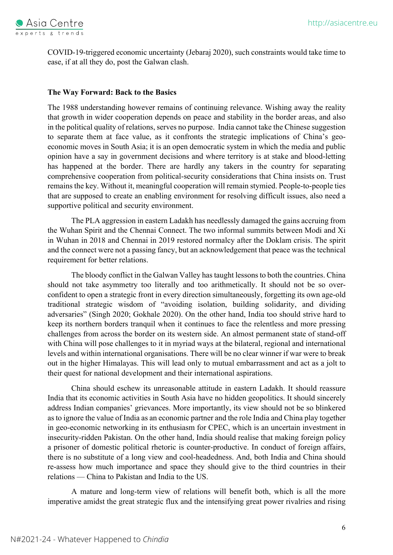

COVID-19-triggered economic uncertainty (Jebaraj 2020), such constraints would take time to ease, if at all they do, post the Galwan clash.

# **The Way Forward: Back to the Basics**

The 1988 understanding however remains of continuing relevance. Wishing away the reality that growth in wider cooperation depends on peace and stability in the border areas, and also in the political quality of relations, serves no purpose. India cannot take the Chinese suggestion to separate them at face value, as it confronts the strategic implications of China's geoeconomic moves in South Asia; it is an open democratic system in which the media and public opinion have a say in government decisions and where territory is at stake and blood-letting has happened at the border. There are hardly any takers in the country for separating comprehensive cooperation from political-security considerations that China insists on. Trust remains the key. Without it, meaningful cooperation will remain stymied. People-to-people ties that are supposed to create an enabling environment for resolving difficult issues, also need a supportive political and security environment.

The PLA aggression in eastern Ladakh has needlessly damaged the gains accruing from the Wuhan Spirit and the Chennai Connect. The two informal summits between Modi and Xi in Wuhan in 2018 and Chennai in 2019 restored normalcy after the Doklam crisis. The spirit and the connect were not a passing fancy, but an acknowledgement that peace was the technical requirement for better relations.

The bloody conflict in the Galwan Valley has taught lessons to both the countries. China should not take asymmetry too literally and too arithmetically. It should not be so overconfident to open a strategic front in every direction simultaneously, forgetting its own age-old traditional strategic wisdom of "avoiding isolation, building solidarity, and dividing adversaries" (Singh 2020; Gokhale 2020). On the other hand, India too should strive hard to keep its northern borders tranquil when it continues to face the relentless and more pressing challenges from across the border on its western side. An almost permanent state of stand-off with China will pose challenges to it in myriad ways at the bilateral, regional and international levels and within international organisations. There will be no clear winner if war were to break out in the higher Himalayas. This will lead only to mutual embarrassment and act as a jolt to their quest for national development and their international aspirations.

China should eschew its unreasonable attitude in eastern Ladakh. It should reassure India that its economic activities in South Asia have no hidden geopolitics. It should sincerely address Indian companies' grievances. More importantly, its view should not be so blinkered as to ignore the value of India as an economic partner and the role India and China play together in geo-economic networking in its enthusiasm for CPEC, which is an uncertain investment in insecurity-ridden Pakistan. On the other hand, India should realise that making foreign policy a prisoner of domestic political rhetoric is counter-productive. In conduct of foreign affairs, there is no substitute of a long view and cool-headedness. And, both India and China should re-assess how much importance and space they should give to the third countries in their relations — China to Pakistan and India to the US.

A mature and long-term view of relations will benefit both, which is all the more imperative amidst the great strategic flux and the intensifying great power rivalries and rising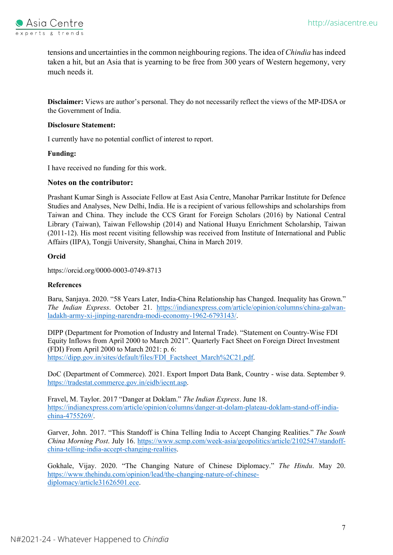

tensions and uncertainties in the common neighbouring regions. The idea of *Chindia* has indeed taken a hit, but an Asia that is yearning to be free from 300 years of Western hegemony, very much needs it.

**Disclaimer:** Views are author's personal. They do not necessarily reflect the views of the MP-IDSA or the Government of India.

### **Disclosure Statement:**

I currently have no potential conflict of interest to report.

#### **Funding:**

I have received no funding for this work.

#### **Notes on the contributor:**

Prashant Kumar Singh is Associate Fellow at East Asia Centre, Manohar Parrikar Institute for Defence Studies and Analyses, New Delhi, India. He is a recipient of various fellowships and scholarships from Taiwan and China. They include the CCS Grant for Foreign Scholars (2016) by National Central Library (Taiwan), Taiwan Fellowship (2014) and National Huayu Enrichment Scholarship, Taiwan (2011-12). His most recent visiting fellowship was received from Institute of International and Public Affairs (IIPA), Tongji University, Shanghai, China in March 2019.

# **Orcid**

https://orcid.org/0000-0003-0749-8713

# **References**

Baru, Sanjaya. 2020. "58 Years Later, India-China Relationship has Changed. Inequality has Grown." *The Indian Express*. October 21. https://indianexpress.com/article/opinion/columns/china-galwanladakh-army-xi-jinping-narendra-modi-economy-1962-6793143/.

DIPP (Department for Promotion of Industry and Internal Trade). "Statement on Country-Wise FDI Equity Inflows from April 2000 to March 2021". Quarterly Fact Sheet on Foreign Direct Investment (FDI) From April 2000 to March 2021: p. 6: https://dipp.gov.in/sites/default/files/FDI\_Factsheet\_March%2C21.pdf.

DoC (Department of Commerce). 2021. Export Import Data Bank, Country - wise data. September 9. https://tradestat.commerce.gov.in/eidb/iecnt.asp.

Fravel, M. Taylor. 2017 "Danger at Doklam." *The Indian Express*. June 18. https://indianexpress.com/article/opinion/columns/danger-at-dolam-plateau-doklam-stand-off-indiachina-4755269/.

Garver, John. 2017. "This Standoff is China Telling India to Accept Changing Realities." *The South China Morning Post*. July 16. https://www.scmp.com/week-asia/geopolitics/article/2102547/standoffchina-telling-india-accept-changing-realities.

Gokhale, Vijay. 2020. "The Changing Nature of Chinese Diplomacy." *The Hindu*. May 20. https://www.thehindu.com/opinion/lead/the-changing-nature-of-chinesediplomacy/article31626501.ece.